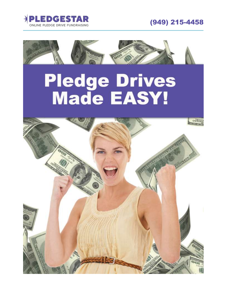



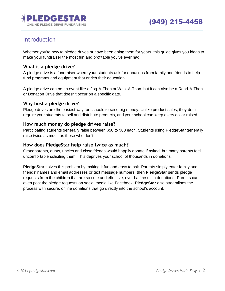

## Introduction

Whether you're new to pledge drives or have been doing them for years, this guide gives you ideas to make your fundraiser the most fun and profitable you've ever had.

## **What is a pledge drive?**

A pledge drive is a fundraiser where your students ask for donations from family and friends to help fund programs and equipment that enrich their education.

A pledge drive can be an event like a Jog-A-Thon or Walk-A-Thon, but it can also be a Read-A-Thon or Donation Drive that doesn't occur on a specific date.

## **Why host a pledge drive?**

Pledge drives are the easiest way for schools to raise big money. Unlike product sales, they don't require your students to sell and distribute products, and your school can keep every dollar raised.

### **How much money do pledge drives raise?**

Participating students generally raise between \$50 to \$80 each. Students using PledgeStar generally raise twice as much as those who don't.

### **How does PledgeStar help raise twice as much?**

Grandparents, aunts, uncles and close friends would happily donate if asked, but many parents feel uncomfortable soliciting them. This deprives your school of thousands in donations.

**PledgeStar** solves this problem by making it fun and easy to ask. Parents simply enter family and friends' names and email addresses or text message numbers, then **PledgeStar** sends pledge requests from the children that are so cute and effective, over half result in donations. Parents can even post the pledge requests on social media like Facebook. **PledgeStar** also streamlines the process with secure, online donations that go directly into the school's account.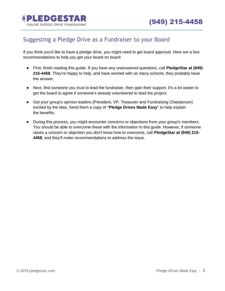

## Suggesting a Pledge Drive as a Fundraiser to your Board

If you think you'd like to have a pledge drive, you might need to get board approval. Here are a few recommendations to help you get your board on board:

- First, finish reading this guide. If you have any unanswered questions, call **PledgeStar at (949) 215-4458**. They're happy to help, and have worked with so many schools, they probably have the answer.
- Next, find someone you trust to lead the fundraiser, then gain their support. It's a lot easier to get the board to agree if someone's already volunteered to lead the project.
- Get your group's opinion leaders (President, VP, Treasurer and Fundraising Chairperson) excited by the idea. Send them a copy of "**Pledge Drives Made Easy**" to help explain the benefits.
- During this process, you might encounter concerns or objections from your group's members. You should be able to overcome these with the information in this guide. However, if someone raises a concern or objection you don't know how to overcome, call **PledgeStar at (949) 215- 4458**, and they'll make recommendations to address the issue.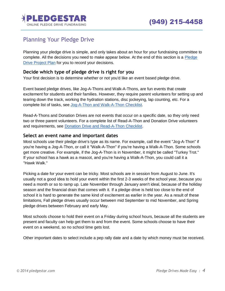

## Planning Your Pledge Drive

Planning your pledge drive is simple, and only takes about an hour for your fundraising committee to complete. All the decisions you need to make appear below. At the end of this section is a [Pledge](#page-5-0)  [Drive Project Plan](#page-5-0) for you to record your decisions.

### **Decide which type of pledge drive is right for you**

Your first decision is to determine whether or not you'd like an event based pledge drive.

Event based pledge drives, like Jog-A-Thons and Walk-A-Thons, are fun events that create excitement for students and their families. However, they require parent volunteers for setting up and tearing down the track, working the hydration stations, disc jockeying, lap counting, etc. For a complete list of tasks, see [Jog-A-Thon and Walk-A-Thon Checklist.](#page-15-0)

Read-A-Thons and Donation Drives are not events that occur on a specific date, so they only need two or three parent volunteers. For a complete list of Read-A-Thon and Donation Drive volunteers and requirements, see [Donation Drive and Read-A-Thon Checklist.](#page-14-0)

#### **Select an event name and important dates**

Most schools use their pledge drive's type as its name. For example, call the event "Jog-A-Thon" if you're having a Jog-A-Thon, or call it "Walk-A-Thon" if you're having a Walk-A-Thon. Some schools get more creative. For example, if the Jog-A-Thon is in November, it might be called "Turkey Trot." If your school has a hawk as a mascot, and you're having a Walk-A-Thon, you could call it a "Hawk Walk."

Picking a date for your event can be tricky. Most schools are in session from August to June. It's usually not a good idea to hold your event within the first 2-3 weeks of the school year, because you need a month or so to ramp up. Late November through January aren't ideal, because of the holiday season and the financial drain that comes with it. If a pledge drive is held too close to the end of school it is hard to generate the same kind of excitement as earlier in the year. As a result of these limitations, Fall pledge drives usually occur between mid September to mid November, and Spring pledge drives between February and early May.

Most schools choose to hold their event on a Friday during school hours, because all the students are present and faculty can help get them to and from the event. Some schools choose to have their event on a weekend, so no school time gets lost.

Other important dates to select include a pep rally date and a date by which money must be received.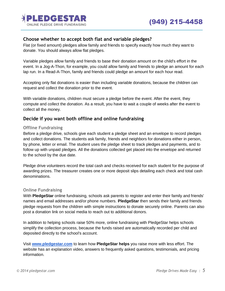

## **Choose whether to accept both flat and variable pledges?**

Flat (or fixed amount) pledges allow family and friends to specify exactly how much they want to donate. You should always allow flat pledges.

Variable pledges allow family and friends to base their donation amount on the child's effort in the event. In a Jog-A-Thon, for example, you could allow family and friends to pledge an amount for each lap run. In a Read-A-Thon, family and friends could pledge an amount for each hour read.

Accepting only flat donations is easier than including variable donations, because the children can request and collect the donation prior to the event.

With variable donations, children must secure a pledge before the event. After the event, they compute and collect the donation. As a result, you have to wait a couple of weeks after the event to collect all the money.

## **Decide if you want both offline and online fundraising**

#### **Offline Fundraising**

Before a pledge drive, schools give each student a pledge sheet and an envelope to record pledges and collect donations. The students ask family, friends and neighbors for donations either in person, by phone, letter or email. The student uses the pledge sheet to track pledges and payments, and to follow up with unpaid pledges. All the donations collected get placed into the envelope and returned to the school by the due date.

Pledge drive volunteers record the total cash and checks received for each student for the purpose of awarding prizes. The treasurer creates one or more deposit slips detailing each check and total cash denominations.

#### **Online Fundraising**

With **PledgeStar** online fundraising, schools ask parents to register and enter their family and friends' names and email addresses and/or phone numbers. **PledgeStar** then sends their family and friends pledge requests from the children with simple instructions to donate securely online. Parents can also post a donation link on social media to reach out to additional donors.

In addition to helping schools raise 50% more, online fundraising with PledgeStar helps schools simplify the collection process, because the funds raised are automatically recorded per child and deposited directly to the school's account.

Visit **[www.pledgestar.com](http://www.pledgestar.com/)** to learn how **PledgeStar helps** you raise more with less effort. The website has an explanation video, answers to frequently asked questions, testimonials, and pricing information.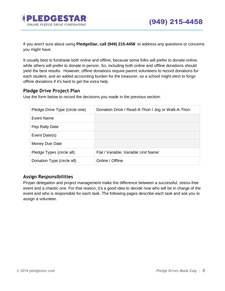

If you aren't sure about using **PledgeStar, call (949) 215-4458** to address any questions or concerns you might have.

It usually best to fundraise both online and offline, because some folks will prefer to donate online, while others will prefer to donate in person. So, including both online and offline donations should yield the best results. However, offline donations require parent volunteers to record donations for each student, and an added accounting burden for the treasurer, so a school might elect to forgo offline donations if it's hard to get the extra help.

### <span id="page-5-0"></span>**Pledge Drive Project Plan**

Use the form below to record the decisions you made in the previous section:

| Pledge Drive Type (circle one) | Donation Drive / Read-A-Thon / Jog or Walk-A-Thon |
|--------------------------------|---------------------------------------------------|
| Event Name                     |                                                   |
| Pep Rally Date                 |                                                   |
| Event Date(s)                  |                                                   |
| Money Due Date                 |                                                   |
| Pledge Types (circle all)      | Flat / Variable, Variable Unit Name:              |
| Donation Type (circle all)     | Online / Offline                                  |

## **Assign Responsibilities**

Proper delegation and project management make the difference between a successful, stress-free event and a chaotic one. For that reason, it's a good idea to decide now who will be in charge of the event and who is responsible for each task. The following pages describe each task and ask you to assign a volunteer.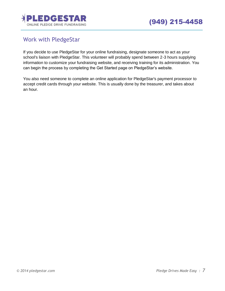

## <span id="page-6-0"></span>Work with PledgeStar

If you decide to use PledgeStar for your online fundraising, designate someone to act as your school's liaison with PledgeStar. This volunteer will probably spend between 2-3 hours supplying information to customize your fundraising website, and receiving training for its administration. You can begin the process by completing the Get Started page on PledgeStar's website.

You also need someone to complete an online application for PledgeStar's payment processor to accept credit cards through your website. This is usually done by the treasurer, and takes about an hour.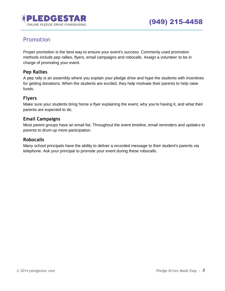

## <span id="page-7-0"></span>Promotion

Proper promotion is the best way to ensure your event's success. Commonly used promotion methods include pep rallies, flyers, email campaigns and robocalls. Assign a volunteer to be in charge of promoting your event.

## **Pep Rallies**

A pep rally is an assembly where you explain your pledge drive and hype the students with incentives for getting donations. When the students are excited, they help motivate their parents to help raise funds.

## **Flyers**

Make sure your students bring home a flyer explaining the event, why you're having it, and what their parents are expected to do.

## **Email Campaigns**

Most parent groups have an email list. Throughout the event timeline, email reminders and updates to parents to drum up more participation.

### **Robocalls**

Many school principals have the ability to deliver a recorded message to their student's parents via telephone. Ask your principal to promote your event during these robocalls.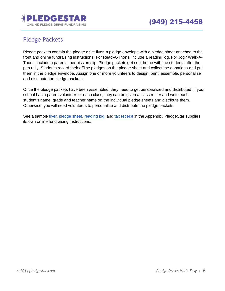

# <span id="page-8-0"></span>Pledge Packets

Pledge packets contain the pledge drive flyer, a pledge envelope with a pledge sheet attached to the front and online fundraising instructions. For Read-A-Thons, include a reading log. For Jog / Walk-A-Thons, include a parental permission slip. Pledge packets get sent home with the students after the pep rally. Students record their offline pledges on the pledge sheet and collect the donations and put them in the pledge envelope. Assign one or more volunteers to design, print, assemble, personalize and distribute the pledge packets.

Once the pledge packets have been assembled, they need to get personalized and distributed. If your school has a parent volunteer for each class, they can be given a class roster and write each student's name, grade and teacher name on the individual pledge sheets and distribute them. Otherwise, you will need volunteers to personalize and distribute the pledge packets.

See a sample [flyer,](#page-17-0) [pledge sheet,](#page-19-0) [reading log,](#page-20-0) and [tax receipt](#page-21-0) in the Appendix. PledgeStar supplies its own online fundraising instructions.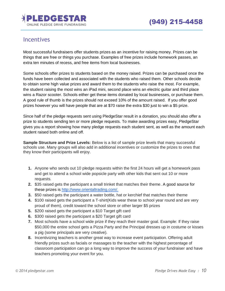

## <span id="page-9-0"></span>**Incentives**

Most successful fundraisers offer students prizes as an incentive for raising money. Prizes can be things that are free or things you purchase. Examples of free prizes include homework passes, an extra ten minutes of recess, and free items from local businesses.

Some schools offer prizes to students based on the money raised. Prizes can be purchased once the funds have been collected and associated with the students who raised them. Other schools decide to obtain some high value prizes and award them to the students who raise the most. For example, the student raising the most wins an iPad mini, second place wins an electric guitar and third place wins a Razor scooter. Schools either get these items donated by local businesses, or purchase them. A good rule of thumb is the prizes should not exceed 10% of the amount raised. If you offer good prizes however you will have people that are at \$70 raise the extra \$30 just to win a \$5 prize.

Since half of the pledge requests sent using PledgeStar result in a donation, you should also offer a prize to students sending ten or more pledge requests. To make awarding prizes easy, PledgeStar gives you a report showing how many pledge requests each student sent, as well as the amount each student raised both online and off.

**Sample Structure and Prize Levels:** Below is a list of sample prize levels that many successful schools use. Many groups will also add in additional incentives or customize the prizes to ones that they know their participants will enjoy.

- **1.** Anyone who sends out 10 pledge requests within the first 24 hours will get a homework pass and get to attend a school wide popsicle party with other kids that sent out 10 or more requests.
- **2.** \$35 raised gets the participant a small trinket that matches their theme. A good source for these prizes is [http://www.orientaltrading.com/.](http://www.orientaltrading.com/)
- **3.** \$50 raised gets the participant a water bottle, hat or kerchief that matches their theme
- **4.** \$100 raised gets the participant a T-shirt(Kids wear these to school year round and are very proud of them), credit toward the school store or other larger \$5 prizes
- **5.** \$200 raised gets the participant a \$10 Target gift card
- **6.** \$300 raised gets the participant a \$20 Target gift card
- **7.** Most schools have a school wide prize if they reach their master goal. Example: If they raise \$50,000 the entire school gets a Pizza Party and the Principal dresses up in costume or kisses a pig (some principals are very creative).
- **8.** Incentivizing teachers is another great way to increase event participation. Offering adult friendly prizes such as facials or massages to the teacher with the highest percentage of classroom participation can go a long way to improve the success of your fundraiser and have teachers promoting your event for you.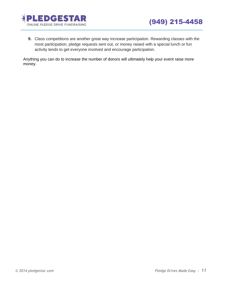



**9.** Class competitions are another great way increase participation. Rewarding classes with the most participation, pledge requests sent out, or money raised with a special lunch or fun activity tends to get everyone involved and encourage participation.

Anything you can do to increase the number of donors will ultimately help your event raise more money.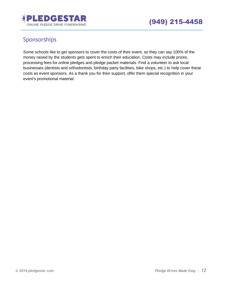

# <span id="page-11-0"></span>Sponsorships

Some schools like to get sponsors to cover the costs of their event, so they can say 100% of the money raised by the students gets spent to enrich their education. Costs may include prizes, processing fees for online pledges and pledge packet materials. Find a volunteer to ask local businesses (dentists and orthodontists, birthday party facilities, bike shops, etc.) to help cover these costs as event sponsors. As a thank you for their support, offer them special recognition in your event's promotional material.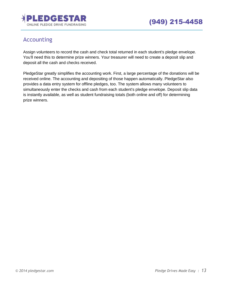

## <span id="page-12-0"></span>Accounting

Assign volunteers to record the cash and check total returned in each student's pledge envelope. You'll need this to determine prize winners. Your treasurer will need to create a deposit slip and deposit all the cash and checks received.

PledgeStar greatly simplifies the accounting work. First, a large percentage of the donations will be received online. The accounting and depositing of those happen automatically. PledgeStar also provides a data entry system for offline pledges, too. The system allows many volunteers to simultaneously enter the checks and cash from each student's pledge envelope. Deposit slip data is instantly available, as well as student fundraising totals (both online and off) for determining prize winners.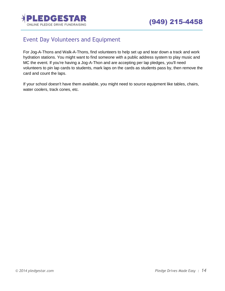

## <span id="page-13-0"></span>Event Day Volunteers and Equipment

For Jog-A-Thons and Walk-A-Thons, find volunteers to help set up and tear down a track and work hydration stations. You might want to find someone with a public address system to play music and MC the event. If you're having a Jog-A-Thon and are accepting per lap pledges, you'll need volunteers to pin lap cards to students, mark laps on the cards as students pass by, then remove the card and count the laps.

If your school doesn't have them available, you might need to source equipment like tables, chairs, water coolers, track cones, etc.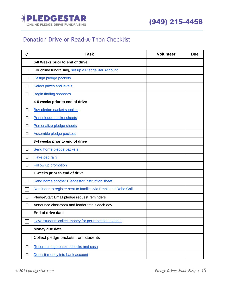

## <span id="page-14-0"></span>Donation Drive or Read-A-Thon Checklist

| $\checkmark$ | <b>Task</b>                                                   | <b>Volunteer</b> | <b>Due</b> |
|--------------|---------------------------------------------------------------|------------------|------------|
|              | 6-8 Weeks prior to end of drive                               |                  |            |
| $\Box$       | For online fundraising, set up a PledgeStar Account           |                  |            |
| $\Box$       | Design pledge packets                                         |                  |            |
| $\Box$       | <b>Select prizes and levels</b>                               |                  |            |
| $\Box$       | <b>Begin finding sponsors</b>                                 |                  |            |
|              | 4-6 weeks prior to end of drive                               |                  |            |
| $\Box$       | Buy pledge packet supplies                                    |                  |            |
| $\Box$       | Print pledge packet sheets                                    |                  |            |
| $\Box$       | Personalize pledge sheets                                     |                  |            |
| $\Box$       | Assemble pledge packets                                       |                  |            |
|              | 3-4 weeks prior to end of drive                               |                  |            |
| $\Box$       | Send home pledge packets                                      |                  |            |
| $\Box$       | Have pep rally                                                |                  |            |
| $\Box$       | <b>Follow up promotion</b>                                    |                  |            |
|              | 1 weeks prior to end of drive                                 |                  |            |
| $\Box$       | Send home another Pledgestar instruction sheet                |                  |            |
|              | Reminder to register sent to families via Email and Robo Call |                  |            |
| $\Box$       | PledgeStar: Email pledge request reminders                    |                  |            |
| $\Box$       | Announce classroom and leader totals each day                 |                  |            |
|              | End of drive date                                             |                  |            |
|              | Have students collect money for per repetition pledges        |                  |            |
|              | Money due date                                                |                  |            |
|              | Collect pledge packets from students                          |                  |            |
| $\Box$       | Record pledge packet checks and cash                          |                  |            |
| $\Box$       | Deposit money into bank account                               |                  |            |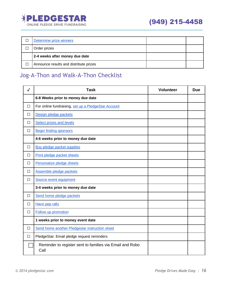

| Determine prize winners                |  |
|----------------------------------------|--|
| Order prizes                           |  |
| 2-4 weeks after money due date         |  |
| Announce results and distribute prizes |  |

## <span id="page-15-0"></span>Jog-A-Thon and Walk-A-Thon Checklist

| $\checkmark$ | <b>Task</b>                                                      | Volunteer | <b>Due</b> |
|--------------|------------------------------------------------------------------|-----------|------------|
|              | 6-8 Weeks prior to money due date                                |           |            |
| $\Box$       | For online fundraising, set up a PledgeStar Account              |           |            |
| $\Box$       | Design pledge packets                                            |           |            |
| □            | Select prizes and levels                                         |           |            |
| $\Box$       | <b>Begin finding sponsors</b>                                    |           |            |
|              | 4-6 weeks prior to money due date                                |           |            |
| □            | Buy pledge packet supplies                                       |           |            |
| $\Box$       | Print pledge packet sheets                                       |           |            |
| □            | Personalize pledge sheets                                        |           |            |
| $\Box$       | Assemble pledge packets                                          |           |            |
| $\Box$       | Source event equipment                                           |           |            |
|              | 3-4 weeks prior to money due date                                |           |            |
| $\Box$       | Send home pledge packets                                         |           |            |
| $\Box$       | Have pep rally                                                   |           |            |
| $\Box$       | Follow up promotion                                              |           |            |
|              | 1 weeks prior to money event date                                |           |            |
| $\Box$       | Send home another Pledgestar instruction sheet                   |           |            |
| $\Box$       | PledgeStar: Email pledge request reminders                       |           |            |
|              | Reminder to register sent to families via Email and Robo<br>Call |           |            |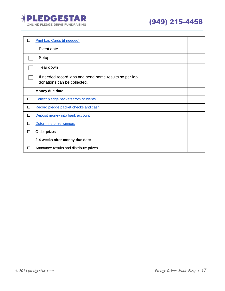

| П | <b>Print Lap Cards (if needed)</b>                                                    |  |
|---|---------------------------------------------------------------------------------------|--|
|   | Event date                                                                            |  |
|   | Setup                                                                                 |  |
|   | Tear down                                                                             |  |
|   | If needed record laps and send home results so per lap<br>donations can be collected. |  |
|   | Money due date                                                                        |  |
| П | Collect pledge packets from students                                                  |  |
| П | Record pledge packet checks and cash                                                  |  |
| П | Deposit money into bank account                                                       |  |
| □ | Determine prize winners                                                               |  |
| П | Order prizes                                                                          |  |
|   | 2-4 weeks after money due date                                                        |  |
| □ | Announce results and distribute prizes                                                |  |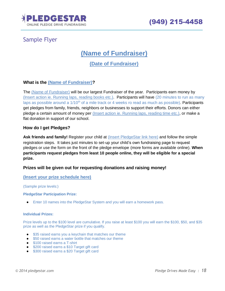

## <span id="page-17-0"></span>Sample Flyer

**(Name of Fundraiser)**

**(Date of Fundraiser)**

### **What is the (Name of Fundraiser)?**

The (Name of Fundraiser) will be our largest Fundraiser of the year. Participants earn money by (Insert action ie. Running laps, reading books etc.). Participants will have (20 minutes to run as many laps as possible around a 1/10<sup>th</sup> of a mile track or 4 weeks ro read as much as possible). Participants get pledges from family, friends, neighbors or businesses to support their efforts. Donors can either pledge a certain amount of money per (Insert action ie. Running laps, reading time etc.), or make a flat donation in support of our school.

#### **How do I get Pledges?**

Ask friends and family! Regis[t](http://www.lf2dolphindash.com/)er your child at *[\(Insert](http://www.lf2dolphindash.com/) PledgeStar link here)* and follow the simple registration steps. It takes just minutes to set-up your child's own fundraising page to request pledges or use the form on the front of the pledge envelope (more forms are available online). **When participants request pledges from least 10 people online, they will be eligible for a special prize.**

#### **Prizes will be given out for requesting donations and raising money!**

#### **(Insert your prize schedule here)**

#### (Sample prize levels:)

#### **PledgeStar Participation Prize:**

● Enter 10 names into the PledgeStar System and you will earn a homework pass.

#### **Individual Prizes:**

Prize levels up to the \$100 level are cumulative. If you raise at least \$100 you will earn the \$100, \$50, and \$35 prize as well as the PledgeStar prize if you qualify.

- \$35 raised earns you a keychain that matches our theme
- \$50 raised earns a water bottle that matches our theme
- \$100 raised earns a T-shirt
- \$200 raised earns a \$10 Target gift card
- \$300 raised earns a \$20 Target gift card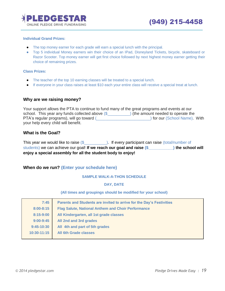

#### **Individual Grand Prizes:**

- The top money earner for each grade will earn a special lunch with the principal.
- Top 5 individual Money earners win their choice of an IPad, Disneyland Tickets, bicycle, skateboard or Razor Scooter. Top money earner will get first choice followed by next highest money earner getting their choice of remaining prizes.

#### **Class Prizes:**

- The teacher of the top 10 earning classes will be treated to a special lunch.
- If everyone in your class raises at least \$10 each your entire class will receive a special treat at lunch.

#### **Why are we raising money?**

Your support allows the PTA to continue to fund many of the great programs and events at our school. This year any funds collected above  $(\frac{2}{2})$  (the amount needed to operate the PTA's regular programs), will go toward (\_\_\_\_\_\_\_\_\_\_\_\_\_\_\_\_\_\_\_\_\_\_\_\_\_\_\_\_\_\_\_\_) for our (School Name). With your help every child will benefit.

#### **What is the Goal?**

This year we would like to raise  $(\frac{2}{2})$ . If every participant can raise (total/number of students) we can achieve our goal! **If we reach our goal and raise (\$\_\_\_\_\_\_\_\_\_\_\_) the school will enjoy a special assembly for all the student body to enjoy!**

#### **When do we run? (Enter your schedule here)**

#### **SAMPLE WALK-A-THON SCHEDULE**

#### **DAY, DATE**

#### **(All times and groupings should be modified for your school)**

| 7:45          | Parents and Students are invited to arrive for the Day's Festivities |
|---------------|----------------------------------------------------------------------|
| $8:00 - 8:15$ | <b>Flag Salute, National Anthem and Choir Performance</b>            |
| 8:15-9:00     | All Kindergarten, all 1st grade classes                              |
| $9:00 - 9:45$ | All 2nd and 3rd grades                                               |
| $9:45-10:30$  | All 4th and part of 5th grades                                       |
| 10:30-11:15   | All 6th Grade classes                                                |
|               |                                                                      |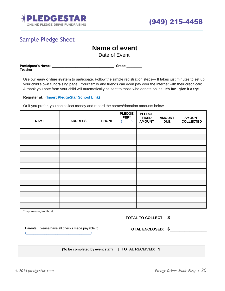

## <span id="page-19-0"></span>Sample Pledge Sheet

## **Name of event**

Date of Event

| Participant's Name: | Grade: |
|---------------------|--------|
| <b>Teacher:</b>     |        |

Use our **easy online system** to participate. Follow the simple registration steps— It takes just minutes to set up your child's own fundraising page. Your family and friends can even pay over the internet with their credit card. A thank you note from your child will automatically be sent to those who donate online. **It's fun, give it a try**!

**Register at: (Insert PledgeStar [School](http://www.lf2dolphindash.com/) Link)**

Or if you prefer, you can collect money and record the names/donation amounts below.

| <b>NAME</b> | <b>ADDRESS</b> | <b>PHONE</b> | <b>PLEDGE</b><br>PER* | <b>PLEDGE</b><br><b>FIXED</b><br><b>AMOUNT</b> | <b>AMOUNT</b><br><b>DUE</b> | <b>AMOUNT</b><br><b>COLLECTED</b> |
|-------------|----------------|--------------|-----------------------|------------------------------------------------|-----------------------------|-----------------------------------|
|             |                |              |                       |                                                |                             |                                   |
|             |                |              |                       |                                                |                             |                                   |
|             |                |              |                       |                                                |                             |                                   |
|             |                |              |                       |                                                |                             |                                   |
|             |                |              |                       |                                                |                             |                                   |
|             |                |              |                       |                                                |                             |                                   |
|             |                |              |                       |                                                |                             |                                   |
|             |                |              |                       |                                                |                             |                                   |
|             |                |              |                       |                                                |                             |                                   |
|             |                |              |                       |                                                |                             |                                   |
|             |                |              |                       |                                                |                             |                                   |
|             |                |              |                       |                                                |                             |                                   |
|             |                |              |                       |                                                |                             |                                   |
|             |                |              |                       |                                                |                             |                                   |

\*Lap, minute,length, etc.

| TOTAL TO COLLECT: \$        |  |
|-----------------------------|--|
| $-0.0011$ $-0.101$ $-0.000$ |  |

Parents…please have all checks made payable to  $\overline{a}$  (  $\overline{a}$  )  $\overline{a}$  )  $\overline{a}$  (  $\overline{a}$  )  $\overline{a}$  )  $\overline{a}$ 

**TOTAL ENCLOSED:** \$\_\_\_\_\_\_\_\_\_\_\_\_\_\_\_

**(To be completed by event staff) | TOTAL RECEIVED: \$\_\_\_\_\_\_\_\_\_\_\_\_\_\_\_\_\_\_\_\_\_**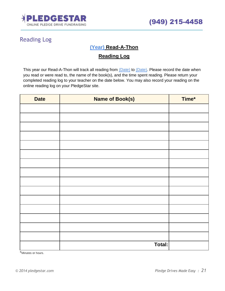

# <span id="page-20-0"></span>Reading Log

## **(Year) Read-A-Thon**

## **Reading Log**

This year our Read-A-Thon will track all reading from (Date) to (Date). Please record the date when you read or were read to, the name of the book(s), and the time spent reading. Please return your completed reading log to your teacher on the date below. You may also record your reading on the online reading log on your PledgeStar site.

| <b>Date</b> | <b>Name of Book(s)</b> | Time* |
|-------------|------------------------|-------|
|             |                        |       |
|             |                        |       |
|             |                        |       |
|             |                        |       |
|             |                        |       |
|             |                        |       |
|             |                        |       |
|             |                        |       |
|             |                        |       |
|             |                        |       |
|             |                        |       |
|             |                        |       |
|             |                        |       |
|             |                        |       |
|             |                        |       |
|             | Total:                 |       |

\*Minutes or hours.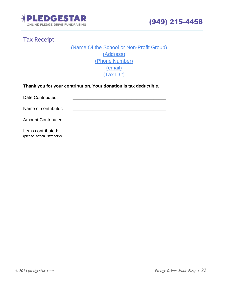

# <span id="page-21-0"></span>Tax Receipt

 (Name Of the School or Non-Profit Group) (Address) (Phone Number) (email) (Tax ID#)

| Thank you for your contribution. Your donation is tax deductible. |  |  |  |  |  |  |  |
|-------------------------------------------------------------------|--|--|--|--|--|--|--|
|-------------------------------------------------------------------|--|--|--|--|--|--|--|

| Date Contributed:                                  |  |
|----------------------------------------------------|--|
| Name of contributor:                               |  |
| <b>Amount Contributed:</b>                         |  |
| Items contributed:<br>(please attach list/receipt) |  |